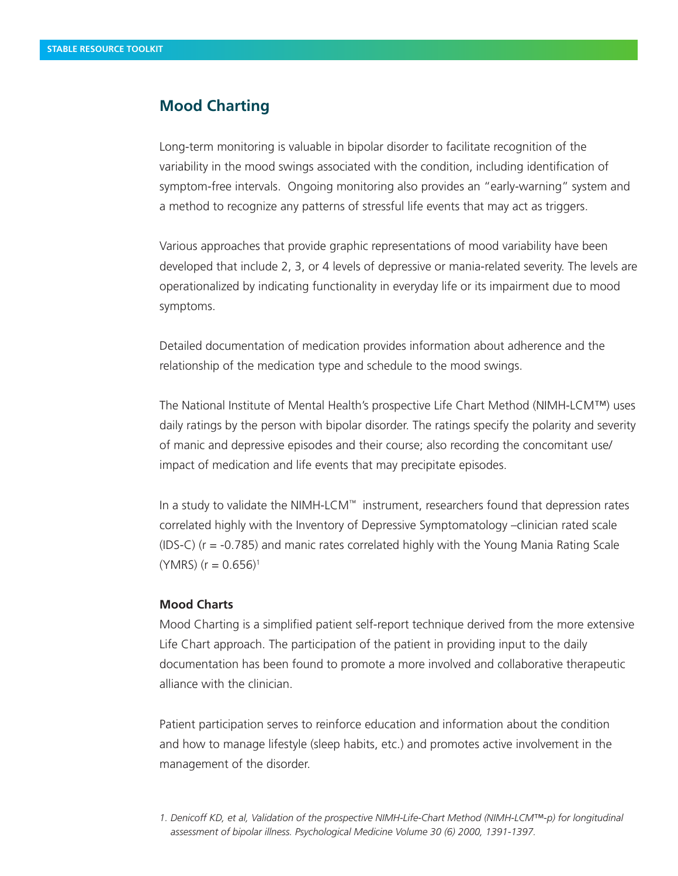## **Mood Charting**

Long-term monitoring is valuable in bipolar disorder to facilitate recognition of the variability in the mood swings associated with the condition, including identification of symptom-free intervals. Ongoing monitoring also provides an "early-warning" system and a method to recognize any patterns of stressful life events that may act as triggers.

Various approaches that provide graphic representations of mood variability have been developed that include 2, 3, or 4 levels of depressive or mania-related severity. The levels are operationalized by indicating functionality in everyday life or its impairment due to mood symptoms.

Detailed documentation of medication provides information about adherence and the relationship of the medication type and schedule to the mood swings.

The National Institute of Mental Health's prospective Life Chart Method (NIMH-LCM™) uses daily ratings by the person with bipolar disorder. The ratings specify the polarity and severity of manic and depressive episodes and their course; also recording the concomitant use/ impact of medication and life events that may precipitate episodes.

In a study to validate the NIMH-LCM™ instrument, researchers found that depression rates correlated highly with the Inventory of Depressive Symptomatology –clinician rated scale (IDS-C) (r = -0.785) and manic rates correlated highly with the Young Mania Rating Scale  $(YMRS)$  (r = 0.656)<sup>1</sup>

## **Mood Charts**

Mood Charting is a simplified patient self-report technique derived from the more extensive Life Chart approach. The participation of the patient in providing input to the daily documentation has been found to promote a more involved and collaborative therapeutic alliance with the clinician.

Patient participation serves to reinforce education and information about the condition and how to manage lifestyle (sleep habits, etc.) and promotes active involvement in the management of the disorder.

*1. Denicoff KD, et al, Validation of the prospective NIMH-Life-Chart Method (NIMH-LCM™-p) for longitudinal assessment of bipolar illness. Psychological Medicine Volume 30 (6) 2000, 1391-1397.*